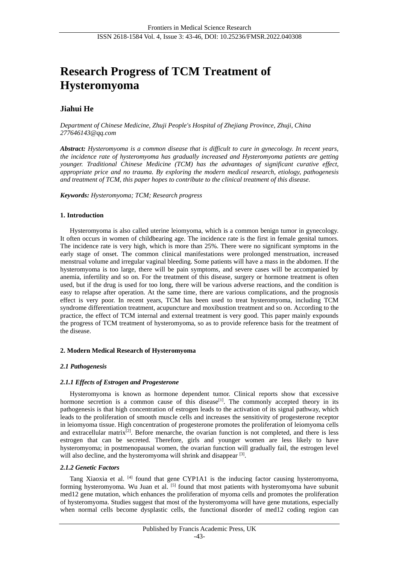# **Research Progress of TCM Treatment of Hysteromyoma**

# **Jiahui He**

*Department of Chinese Medicine, Zhuji People's Hospital of Zhejiang Province, Zhuji, China 277646143@qq.com*

*Abstract: Hysteromyoma is a common disease that is difficult to cure in gynecology. In recent years, the incidence rate of hysteromyoma has gradually increased and Hysteromyoma patients are getting younger. Traditional Chinese Medicine (TCM) has the advantages of significant curative effect, appropriate price and no trauma. By exploring the modern medical research, etiology, pathogenesis and treatment of TCM, this paper hopes to contribute to the clinical treatment of this disease.*

*Keywords: Hysteromyoma; TCM; Research progress*

#### **1. Introduction**

Hysteromyoma is also called uterine leiomyoma, which is a common benign tumor in gynecology. It often occurs in women of childbearing age. The incidence rate is the first in female genital tumors. The incidence rate is very high, which is more than 25%. There were no significant symptoms in the early stage of onset. The common clinical manifestations were prolonged menstruation, increased menstrual volume and irregular vaginal bleeding. Some patients will have a mass in the abdomen. If the hysteromyoma is too large, there will be pain symptoms, and severe cases will be accompanied by anemia, infertility and so on. For the treatment of this disease, surgery or hormone treatment is often used, but if the drug is used for too long, there will be various adverse reactions, and the condition is easy to relapse after operation. At the same time, there are various complications, and the prognosis effect is very poor. In recent years, TCM has been used to treat hysteromyoma, including TCM syndrome differentiation treatment, acupuncture and moxibustion treatment and so on. According to the practice, the effect of TCM internal and external treatment is very good. This paper mainly expounds the progress of TCM treatment of hysteromyoma, so as to provide reference basis for the treatment of the disease.

# **2. Modern Medical Research of Hysteromyoma**

# *2.1 Pathogenesis*

# *2.1.1 Effects of Estrogen and Progesterone*

Hysteromyoma is known as hormone dependent tumor. Clinical reports show that excessive hormone secretion is a common cause of this disease<sup>[1]</sup>. The commonly accepted theory in its pathogenesis is that high concentration of estrogen leads to the activation of its signal pathway, which leads to the proliferation of smooth muscle cells and increases the sensitivity of progesterone receptor in leiomyoma tissue. High concentration of progesterone promotes the proliferation of leiomyoma cells and extracellular matrix<sup>[2]</sup>. Before menarche, the ovarian function is not completed, and there is less estrogen that can be secreted. Therefore, girls and younger women are less likely to have hysteromyoma; in postmenopausal women, the ovarian function will gradually fail, the estrogen level will also decline, and the hysteromyoma will shrink and disappear [3].

# *2.1.2 Genetic Factors*

Tang Xiaoxia et al.  $^{[4]}$  found that gene CYP1A1 is the inducing factor causing hysteromyoma, forming hysteromyoma. Wu Juan et al. [5] found that most patients with hysteromyoma have subunit med12 gene mutation, which enhances the proliferation of myoma cells and promotes the proliferation of hysteromyoma. Studies suggest that most of the hysteromyoma will have gene mutations, especially when normal cells become dysplastic cells, the functional disorder of med12 coding region can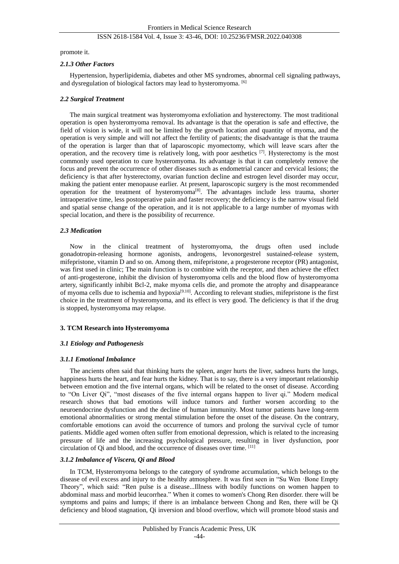# ISSN 2618-1584 Vol. 4, Issue 3: 43-46, DOI: 10.25236/FMSR.2022.040308

promote it.

#### *2.1.3 Other Factors*

Hypertension, hyperlipidemia, diabetes and other MS syndromes, abnormal cell signaling pathways, and dysregulation of biological factors may lead to hysteromyoma. [6]

#### *2.2 Surgical Treatment*

The main surgical treatment was hysteromyoma exfoliation and hysterectomy. The most traditional operation is open hysteromyoma removal. Its advantage is that the operation is safe and effective, the field of vision is wide, it will not be limited by the growth location and quantity of myoma, and the operation is very simple and will not affect the fertility of patients; the disadvantage is that the trauma of the operation is larger than that of laparoscopic myomectomy, which will leave scars after the operation, and the recovery time is relatively long, with poor aesthetics  $[7]$ . Hysterectomy is the most commonly used operation to cure hysteromyoma. Its advantage is that it can completely remove the focus and prevent the occurrence of other diseases such as endometrial cancer and cervical lesions; the deficiency is that after hysterectomy, ovarian function decline and estrogen level disorder may occur, making the patient enter menopause earlier. At present, laparoscopic surgery is the most recommended operation for the treatment of hysteromyoma<sup>[8]</sup>. The advantages include less trauma, shorter intraoperative time, less postoperative pain and faster recovery; the deficiency is the narrow visual field and spatial sense change of the operation, and it is not applicable to a large number of myomas with special location, and there is the possibility of recurrence.

#### *2.3 Medication*

Now in the clinical treatment of hysteromyoma, the drugs often used include gonadotropin-releasing hormone agonists, androgens, levonorgestrel sustained-release system, mifepristone, vitamin D and so on. Among them, mifepristone, a progesterone receptor (PR) antagonist, was first used in clinic; The main function is to combine with the receptor, and then achieve the effect of anti-progesterone, inhibit the division of hysteromyoma cells and the blood flow of hysteromyoma artery, significantly inhibit Bcl-2, make myoma cells die, and promote the atrophy and disappearance of myoma cells due to ischemia and hypoxia<sup>[9.10]</sup>. According to relevant studies, mifepristone is the first choice in the treatment of hysteromyoma, and its effect is very good. The deficiency is that if the drug is stopped, hysteromyoma may relapse.

# **3. TCM Research into Hysteromyoma**

# *3.1 Etiology and Pathogenesis*

# *3.1.1 Emotional Imbalance*

The ancients often said that thinking hurts the spleen, anger hurts the liver, sadness hurts the lungs, happiness hurts the heart, and fear hurts the kidney. That is to say, there is a very important relationship between emotion and the five internal organs, which will be related to the onset of disease. According to "On Liver Qi", "most diseases of the five internal organs happen to liver qi." Modern medical research shows that bad emotions will induce tumors and further worsen according to the neuroendocrine dysfunction and the decline of human immunity. Most tumor patients have long-term emotional abnormalities or strong mental stimulation before the onset of the disease. On the contrary, comfortable emotions can avoid the occurrence of tumors and prolong the survival cycle of tumor patients. Middle aged women often suffer from emotional depression, which is related to the increasing pressure of life and the increasing psychological pressure, resulting in liver dysfunction, poor circulation of Qi and blood, and the occurrence of diseases over time. [11]

# *3.1.2 Imbalance of Viscera, Qi and Blood*

In TCM, Hysteromyoma belongs to the category of syndrome accumulation, which belongs to the disease of evil excess and injury to the healthy atmosphere. It was first seen in "Su Wen ·Bone Empty Theory", which said: "Ren pulse is a disease...Illness with bodily functions on women happen to abdominal mass and morbid leucorrhea." When it comes to women's Chong Ren disorder. there will be symptoms and pains and lumps; if there is an imbalance between Chong and Ren, there will be Qi deficiency and blood stagnation, Qi inversion and blood overflow, which will promote blood stasis and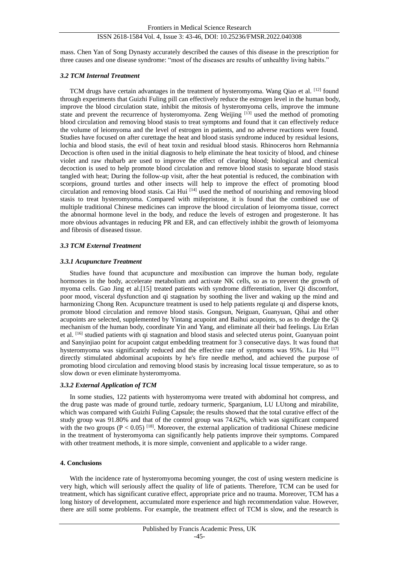# ISSN 2618-1584 Vol. 4, Issue 3: 43-46, DOI: 10.25236/FMSR.2022.040308

mass. Chen Yan of Song Dynasty accurately described the causes of this disease in the prescription for three causes and one disease syndrome: "most of the diseases are results of unhealthy living habits."

#### *3.2 TCM Internal Treatment*

TCM drugs have certain advantages in the treatment of hysteromyoma. Wang Qiao et al. <sup>[12]</sup> found through experiments that Guizhi Fuling pill can effectively reduce the estrogen level in the human body, improve the blood circulation state, inhibit the mitosis of hysteromyoma cells, improve the immune state and prevent the recurrence of hysteromyoma. Zeng Weijing  $[13]$  used the method of promoting blood circulation and removing blood stasis to treat symptoms and found that it can effectively reduce the volume of leiomyoma and the level of estrogen in patients, and no adverse reactions were found. Studies have focused on after curettage the heat and blood stasis syndrome induced by residual lesions, lochia and blood stasis, the evil of heat toxin and residual blood stasis. Rhinoceros horn Rehmannia Decoction is often used in the initial diagnosis to help eliminate the heat toxicity of blood, and chinese violet and raw rhubarb are used to improve the effect of clearing blood; biological and chemical decoction is used to help promote blood circulation and remove blood stasis to separate blood stasis tangled with heat; During the follow-up visit, after the heat potential is reduced, the combination with scorpions, ground turtles and other insects will help to improve the effect of promoting blood circulation and removing blood stasis. Cai Hui [14] used the method of nourishing and removing blood stasis to treat hysteromyoma. Compared with mifepristone, it is found that the combined use of multiple traditional Chinese medicines can improve the blood circulation of leiomyoma tissue, correct the abnormal hormone level in the body, and reduce the levels of estrogen and progesterone. It has more obvious advantages in reducing PR and ER, and can effectively inhibit the growth of leiomyoma and fibrosis of diseased tissue.

#### *3.3 TCM External Treatment*

#### *3.3.1 Acupuncture Treatment*

Studies have found that acupuncture and moxibustion can improve the human body, regulate hormones in the body, accelerate metabolism and activate NK cells, so as to prevent the growth of myoma cells. Gao Jing et al.[15] treated patients with syndrome differentiation, liver Qi discomfort, poor mood, visceral dysfunction and qi stagnation by soothing the liver and waking up the mind and harmonizing Chong Ren. Acupuncture treatment is used to help patients regulate qi and disperse knots, promote blood circulation and remove blood stasis. Gongsun, Neiguan, Guanyuan, Qihai and other acupoints are selected, supplemented by Yintang acupoint and Baihui acupoints, so as to dredge the Qi mechanism of the human body, coordinate Yin and Yang, and eliminate all their bad feelings. Liu Erlan et al. [16] studied patients with qi stagnation and blood stasis and selected uterus point, Guanyuan point and Sanyinjiao point for acupoint catgut embedding treatment for 3 consecutive days. It was found that hysteromyoma was significantly reduced and the effective rate of symptoms was 95%. Liu Hui  $^{[17]}$ directly stimulated abdominal acupoints by he's fire needle method, and achieved the purpose of promoting blood circulation and removing blood stasis by increasing local tissue temperature, so as to slow down or even eliminate hysteromyoma.

# *3.3.2 External Application of TCM*

In some studies, 122 patients with hysteromyoma were treated with abdominal hot compress, and the drug paste was made of ground turtle, zedoary turmeric, Sparganium, LU LUtong and mirabilite, which was compared with Guizhi Fuling Capsule; the results showed that the total curative effect of the study group was 91.80% and that of the control group was 74.62%, which was significant compared with the two groups  $(P < 0.05)$  [18]. Moreover, the external application of traditional Chinese medicine in the treatment of hysteromyoma can significantly help patients improve their symptoms. Compared with other treatment methods, it is more simple, convenient and applicable to a wider range.

#### **4. Conclusions**

With the incidence rate of hysteromyoma becoming younger, the cost of using western medicine is very high, which will seriously affect the quality of life of patients. Therefore, TCM can be used for treatment, which has significant curative effect, appropriate price and no trauma. Moreover, TCM has a long history of development, accumulated more experience and high recommendation value. However, there are still some problems. For example, the treatment effect of TCM is slow, and the research is